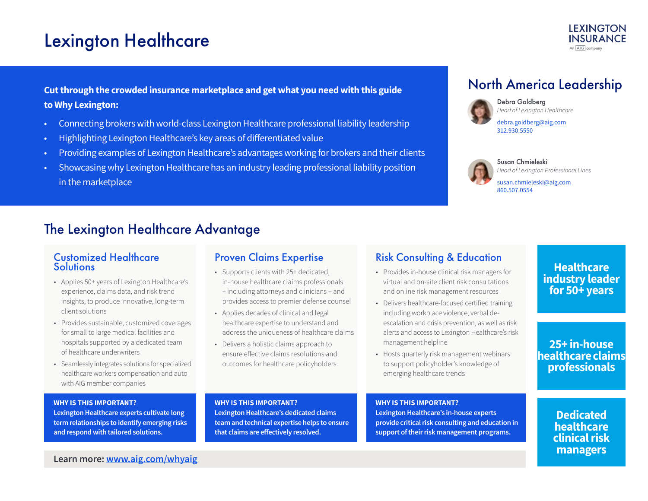# Lexington Healthcare

### **LEXINGTON INSURANCE** An AIG company

### **Cut through the crowded insurance marketplace and get what you need with this guide to Why Lexington:**

- Connecting brokers with world-class Lexington Healthcare professional liability leadership
- Highlighting Lexington Healthcare's key areas of differentiated value
- Providing examples of Lexington Healthcare's advantages working for brokers and their clients
- Showcasing why Lexington Healthcare has an industry leading professional liability position in the marketplace

# The Lexington Healthcare Advantage

### Customized Healthcare **Solutions**

- Applies 50+ years of Lexington Healthcare's experience, claims data, and risk trend insights, to produce innovative, long-term client solutions
- Provides sustainable, customized coverages for small to large medical facilities and hospitals supported by a dedicated team of healthcare underwriters
- Seamlessly integrates solutions for specialized healthcare workers compensation and auto with AIG member companies

#### **WHY IS THIS IMPORTANT?**

**Lexington Healthcare experts cultivate long term relationships to identify emerging risks and respond with tailored solutions.**

## Proven Claims Expertise

- Supports clients with 25+ dedicated, in-house healthcare claims professionals – including attorneys and clinicians – and provides access to premier defense counsel
- Applies decades of clinical and legal healthcare expertise to understand and address the uniqueness of healthcare claims
- Delivers a holistic claims approach to ensure effective claims resolutions and outcomes for healthcare policyholders

# Risk Consulting & Education

- Provides in-house clinical risk managers for virtual and on-site client risk consultations and online risk management resources
- Delivers healthcare-focused certified training including workplace violence, verbal deescalation and crisis prevention, as well as risk alerts and access to Lexington Healthcare's risk management helpline
- Hosts quarterly risk management webinars to support policyholder's knowledge of emerging healthcare trends

# North America Leadership



Debra Goldberg *Head of Lexington Healthcare*

[debra.goldberg@aig.com](mailto:debra.goldberg%40aig.com?subject=) 312.930.5550



Susan Chmieleski *Head of Lexington Professional Lines* [susan.chmieleski@aig.com](mailto:susan.chmieleski%40aig.com?subject=) 860.507.0554

> **Healthcare industry leader for 50+ years**

**25+ in-house healthcare claims professionals**

#### **WHY IS THIS IMPORTANT? Lexington Healthcare's dedicated claims**

**team and technical expertise helps to ensure that claims are effectively resolved.**

### **WHY IS THIS IMPORTANT?**

**Lexington Healthcare's in-house experts provide critical risk consulting and education in support of their risk management programs.**

### **Dedicated healthcare clinical risk managers**

**Learn more: [www.aig.com/whyaig](http://www.aig.com/whyaig)**